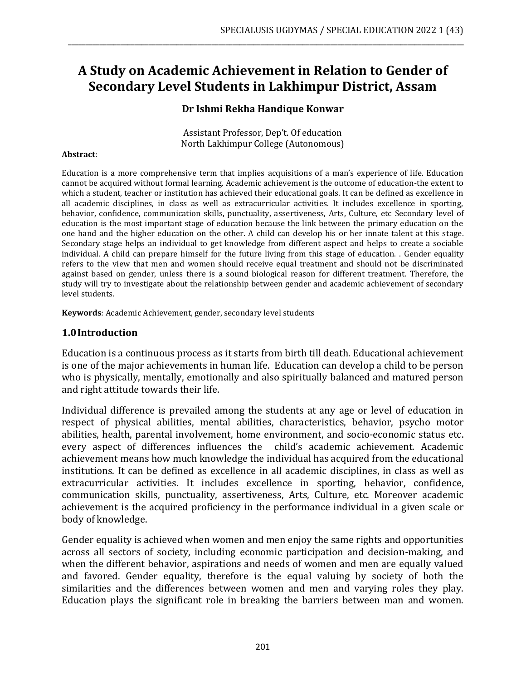# **A Study on Academic Achievement in Relation to Gender of Secondary Level Students in Lakhimpur District, Assam**

\_\_\_\_\_\_\_\_\_\_\_\_\_\_\_\_\_\_\_\_\_\_\_\_\_\_\_\_\_\_\_\_\_\_\_\_\_\_\_\_\_\_\_\_\_\_\_\_\_\_\_\_\_\_\_\_\_\_\_\_\_\_\_\_\_\_\_\_\_\_\_\_\_\_\_\_\_\_\_\_\_\_\_\_\_\_\_\_\_\_\_\_\_\_\_\_\_\_\_\_\_\_\_\_\_\_\_\_\_\_\_\_\_

#### **Dr Ishmi Rekha Handique Konwar**

Assistant Professor, Dep't. Of education North Lakhimpur College (Autonomous)

#### **Abstract**:

Education is a more comprehensive term that implies acquisitions of a man's experience of life. Education cannot be acquired without formal learning. Academic achievement is the outcome of education-the extent to which a student, teacher or institution has achieved their educational goals. It can be defined as excellence in all academic disciplines, in class as well as extracurricular activities. It includes excellence in sporting, behavior, confidence, communication skills, punctuality, assertiveness, Arts, Culture, etc Secondary level of education is the most important stage of education because the link between the primary education on the one hand and the higher education on the other. A child can develop his or her innate talent at this stage. Secondary stage helps an individual to get knowledge from different aspect and helps to create a sociable individual. A child can prepare himself for the future living from this stage of education. . Gender equality refers to the view that men and women should receive equal treatment and should not be discriminated against based on gender, unless there is a sound biological reason for different treatment. Therefore, the study will try to investigate about the relationship between gender and academic achievement of secondary level students.

**Keywords**: Academic Achievement, gender, secondary level students

#### **1.0Introduction**

Education is a continuous process as it starts from birth till death. Educational achievement is one of the major achievements in human life. Education can develop a child to be person who is physically, mentally, emotionally and also spiritually balanced and matured person and right attitude towards their life.

Individual difference is prevailed among the students at any age or level of education in respect of physical abilities, mental abilities, characteristics, behavior, psycho motor abilities, health, parental involvement, home environment, and socio-economic status etc. every aspect of differences influences the child's academic achievement. Academic achievement means how much knowledge the individual has acquired from the educational institutions. It can be defined as excellence in all academic disciplines, in class as well as extracurricular activities. It includes excellence in sporting, behavior, confidence, communication skills, punctuality, assertiveness, Arts, Culture, etc. Moreover academic achievement is the acquired proficiency in the performance individual in a given scale or body of knowledge.

Gender equality is achieved when women and men enjoy the same rights and opportunities across all sectors of society, including economic participation and decision-making, and when the different behavior, aspirations and needs of women and men are equally valued and favored. Gender equality, therefore is the equal valuing by society of both the similarities and the differences between women and men and varying roles they play. Education plays the significant role in breaking the barriers between man and women.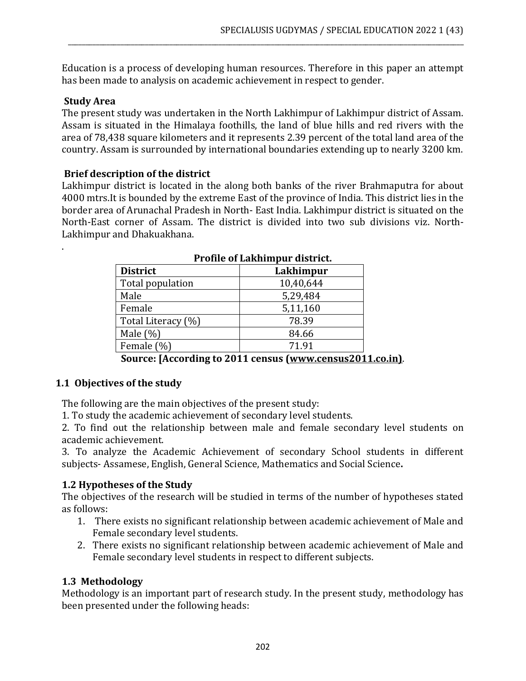Education is a process of developing human resources. Therefore in this paper an attempt has been made to analysis on academic achievement in respect to gender.

\_\_\_\_\_\_\_\_\_\_\_\_\_\_\_\_\_\_\_\_\_\_\_\_\_\_\_\_\_\_\_\_\_\_\_\_\_\_\_\_\_\_\_\_\_\_\_\_\_\_\_\_\_\_\_\_\_\_\_\_\_\_\_\_\_\_\_\_\_\_\_\_\_\_\_\_\_\_\_\_\_\_\_\_\_\_\_\_\_\_\_\_\_\_\_\_\_\_\_\_\_\_\_\_\_\_\_\_\_\_\_\_\_

#### **Study Area**

.

The present study was undertaken in the North Lakhimpur of Lakhimpur district of Assam. Assam is situated in the Himalaya foothills, the land of blue hills and red rivers with the area of 78,438 square kilometers and it represents 2.39 percent of the total land area of the country. Assam is surrounded by international boundaries extending up to nearly 3200 km.

#### **Brief description of the district**

Lakhimpur district is located in the along both banks of the river Brahmaputra for about 4000 mtrs.It is bounded by the extreme East of the province of India. This district lies in the border area of Arunachal Pradesh in North- East India. Lakhimpur district is situated on the North-East corner of Assam. The district is divided into two sub divisions viz. North-Lakhimpur and Dhakuakhana.

| I TUNIC UI LANNINIUUI UISUILL. |           |  |  |  |
|--------------------------------|-----------|--|--|--|
| <b>District</b>                | Lakhimpur |  |  |  |
| Total population               | 10,40,644 |  |  |  |
| Male                           | 5,29,484  |  |  |  |
| Female                         | 5,11,160  |  |  |  |
| Total Literacy (%)             | 78.39     |  |  |  |
| Male $(\%)$                    | 84.66     |  |  |  |
| Female (%)                     | 71.91     |  |  |  |
|                                |           |  |  |  |

# **Source: [According to 2011 census [\(www.census2011.co.in\)](http://www.census2011.co.in)/)**.

#### **1.1 Objectives of the study**

The following are the main objectives of the present study:

1. To study the academic achievement of secondary level students.

2. To find out the relationship between male and female secondary level students on academic achievement.

3. To analyze the Academic Achievement of secondary School students in different subjects- Assamese, English, General Science, Mathematics and Social Science**.**

# **1.2 Hypotheses of the Study**

The objectives of the research will be studied in terms of the number of hypotheses stated as follows:

- 1. There exists no significant relationship between academic achievement of Male and Female secondary level students.
- 2. There exists no significant relationship between academic achievement of Male and Female secondary level students in respect to different subjects.

# **1.3 Methodology**

Methodology is an important part of research study. In the present study, methodology has been presented under the following heads: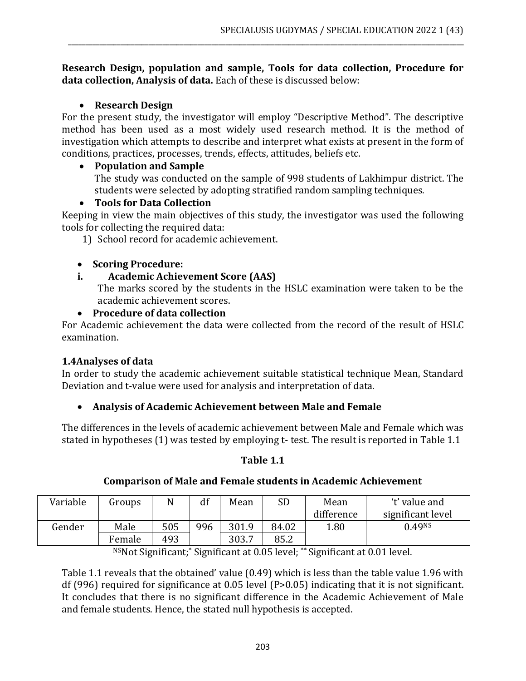#### **Research Design, population and sample, Tools for data collection, Procedure for data collection, Analysis of data.** Each of these is discussed below:

\_\_\_\_\_\_\_\_\_\_\_\_\_\_\_\_\_\_\_\_\_\_\_\_\_\_\_\_\_\_\_\_\_\_\_\_\_\_\_\_\_\_\_\_\_\_\_\_\_\_\_\_\_\_\_\_\_\_\_\_\_\_\_\_\_\_\_\_\_\_\_\_\_\_\_\_\_\_\_\_\_\_\_\_\_\_\_\_\_\_\_\_\_\_\_\_\_\_\_\_\_\_\_\_\_\_\_\_\_\_\_\_\_

### • **Research Design**

For the present study, the investigator will employ "Descriptive Method". The descriptive method has been used as a most widely used research method. It is the method of investigation which attempts to describe and interpret what exists at present in the form of conditions, practices, processes, trends, effects, attitudes, beliefs etc.

#### • **Population and Sample**

The study was conducted on the sample of 998 students of Lakhimpur district. The students were selected by adopting stratified random sampling techniques.

#### • **Tools for Data Collection**

Keeping in view the main objectives of this study, the investigator was used the following tools for collecting the required data:

1) School record for academic achievement.

#### • **Scoring Procedure:**

#### **i. Academic Achievement Score (AAS)**

The marks scored by the students in the HSLC examination were taken to be the academic achievement scores.

#### • **Procedure of data collection**

For Academic achievement the data were collected from the record of the result of HSLC examination.

# **1.4Analyses of data**

In order to study the academic achievement suitable statistical technique Mean, Standard Deviation and t-value were used for analysis and interpretation of data.

# • **Analysis of Academic Achievement between Male and Female**

The differences in the levels of academic achievement between Male and Female which was stated in hypotheses (1) was tested by employing t- test. The result is reported in Table 1.1

#### **Table 1.1**

# **Comparison of Male and Female students in Academic Achievement**

| Variable | Groups | N   | $\mathbf{r}$<br>d1 | Mean  | <b>SD</b> | Mean       | 't' value and      |
|----------|--------|-----|--------------------|-------|-----------|------------|--------------------|
|          |        |     |                    |       |           | difference | significant level  |
| Gender   | Male   | 505 | 996                | 301.9 | 84.02     | 1.80       | 0.49 <sup>NS</sup> |
|          | Female | 493 |                    | 303.7 | 85.2      |            |                    |

NSNot Significant;\* Significant at 0.05 level; \*\* Significant at 0.01 level.

Table 1.1 reveals that the obtained' value (0.49) which is less than the table value 1.96 with df (996) required for significance at 0.05 level (P>0.05) indicating that it is not significant. It concludes that there is no significant difference in the Academic Achievement of Male and female students. Hence, the stated null hypothesis is accepted.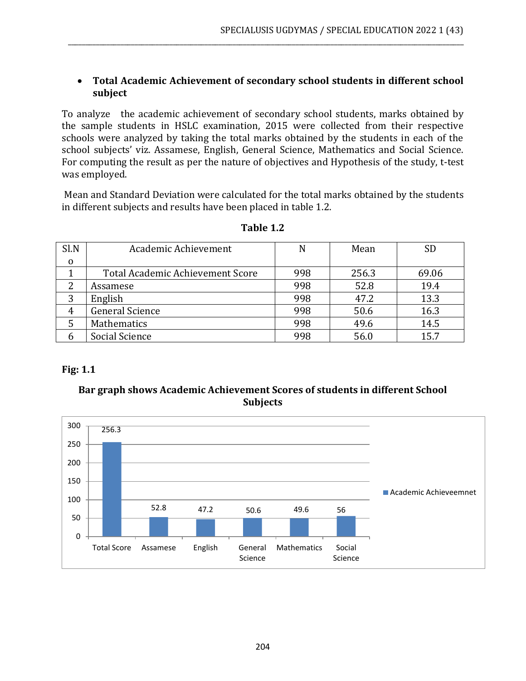### • **Total Academic Achievement of secondary school students in different school subject**

\_\_\_\_\_\_\_\_\_\_\_\_\_\_\_\_\_\_\_\_\_\_\_\_\_\_\_\_\_\_\_\_\_\_\_\_\_\_\_\_\_\_\_\_\_\_\_\_\_\_\_\_\_\_\_\_\_\_\_\_\_\_\_\_\_\_\_\_\_\_\_\_\_\_\_\_\_\_\_\_\_\_\_\_\_\_\_\_\_\_\_\_\_\_\_\_\_\_\_\_\_\_\_\_\_\_\_\_\_\_\_\_\_

To analyze the academic achievement of secondary school students, marks obtained by the sample students in HSLC examination, 2015 were collected from their respective schools were analyzed by taking the total marks obtained by the students in each of the school subjects' viz. Assamese, English, General Science, Mathematics and Social Science. For computing the result as per the nature of objectives and Hypothesis of the study, t-test was employed.

Mean and Standard Deviation were calculated for the total marks obtained by the students in different subjects and results have been placed in table 1.2.

| Sl.N        | Academic Achievement             |     | Mean  | <b>SD</b> |
|-------------|----------------------------------|-----|-------|-----------|
| $\mathbf 0$ |                                  |     |       |           |
|             | Total Academic Achievement Score | 998 | 256.3 | 69.06     |
|             | Assamese                         | 998 | 52.8  | 19.4      |
|             | English                          | 998 | 47.2  | 13.3      |
| 4           | <b>General Science</b>           | 998 | 50.6  | 16.3      |
|             | Mathematics                      | 998 | 49.6  | 14.5      |
| h           | Social Science                   | 998 | 56.0  | 15.7      |

#### **Table 1.2**

# **Fig: 1.1**

#### **Bar graph shows Academic Achievement Scores of students in different School Subjects**

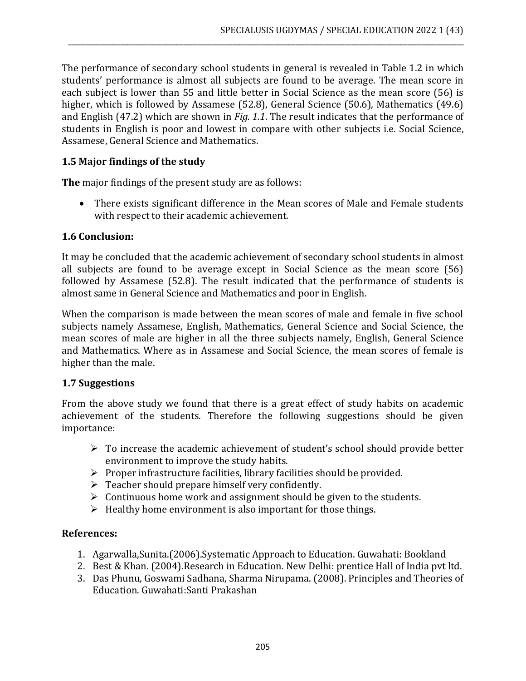The performance of secondary school students in general is revealed in Table 1.2 in which students' performance is almost all subjects are found to be average. The mean score in each subject is lower than 55 and little better in Social Science as the mean score (56) is higher, which is followed by Assamese (52.8), General Science (50.6), Mathematics (49.6) and English (47.2) which are shown in *Fig. 1.1*. The result indicates that the performance of students in English is poor and lowest in compare with other subjects i.e. Social Science, Assamese, General Science and Mathematics.

\_\_\_\_\_\_\_\_\_\_\_\_\_\_\_\_\_\_\_\_\_\_\_\_\_\_\_\_\_\_\_\_\_\_\_\_\_\_\_\_\_\_\_\_\_\_\_\_\_\_\_\_\_\_\_\_\_\_\_\_\_\_\_\_\_\_\_\_\_\_\_\_\_\_\_\_\_\_\_\_\_\_\_\_\_\_\_\_\_\_\_\_\_\_\_\_\_\_\_\_\_\_\_\_\_\_\_\_\_\_\_\_\_

### **1.5 Major findings of the study**

**The** major findings of the present study are as follows:

• There exists significant difference in the Mean scores of Male and Female students with respect to their academic achievement.

#### **1.6 Conclusion:**

It may be concluded that the academic achievement of secondary school students in almost all subjects are found to be average except in Social Science as the mean score (56) followed by Assamese (52.8). The result indicated that the performance of students is almost same in General Science and Mathematics and poor in English.

When the comparison is made between the mean scores of male and female in five school subjects namely Assamese, English, Mathematics, General Science and Social Science, the mean scores of male are higher in all the three subjects namely, English, General Science and Mathematics. Where as in Assamese and Social Science, the mean scores of female is higher than the male.

#### **1.7 Suggestions**

From the above study we found that there is a great effect of study habits on academic achievement of the students. Therefore the following suggestions should be given importance:

- ➢ To increase the academic achievement of student's school should provide better environment to improve the study habits.
- ➢ Proper infrastructure facilities, library facilities should be provided.
- $\triangleright$  Teacher should prepare himself very confidently.
- $\triangleright$  Continuous home work and assignment should be given to the students.
- $\triangleright$  Healthy home environment is also important for those things.

# **References:**

- 1. Agarwalla,Sunita.(2006).Systematic Approach to Education. Guwahati: Bookland
- 2. Best & Khan. (2004).Research in Education. New Delhi: prentice Hall of India pvt ltd.
- 3. Das Phunu, Goswami Sadhana, Sharma Nirupama. (2008). Principles and Theories of Education. Guwahati:Santi Prakashan